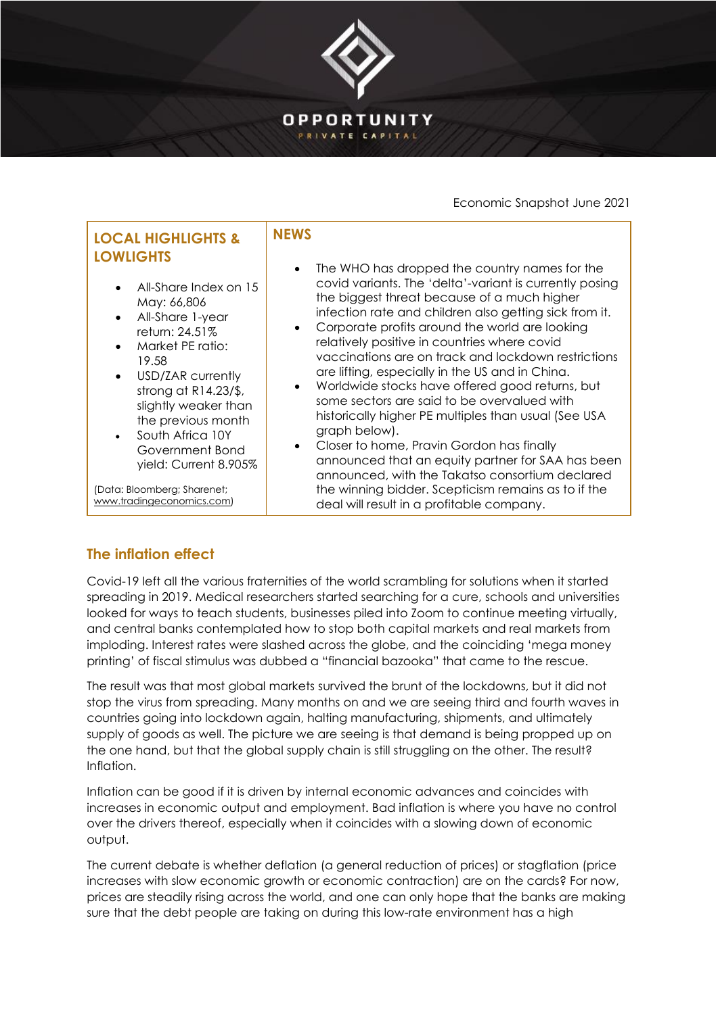

Economic Snapshot June 2021

# **LOCAL HIGHLIGHTS & LOWLIGHTS**

- All-Share Index on 15 May: 66,806
- All-Share 1-year return: 24.51%
- Market PE ratio: 19.58
- USD/ZAR currently strong at R14.23/\$, slightly weaker than the previous month
- South Africa 10Y Government Bond yield: Current 8.905%

(Data: Bloomberg; Sharenet; [www.tradingeconomics.com\)](http://www.tradingeconomics.com/)

### **NEWS**

- The WHO has dropped the country names for the covid variants. The 'delta'-variant is currently posing the biggest threat because of a much higher infection rate and children also getting sick from it.
- Corporate profits around the world are looking relatively positive in countries where covid vaccinations are on track and lockdown restrictions are lifting, especially in the US and in China.
- Worldwide stocks have offered good returns, but some sectors are said to be overvalued with historically higher PE multiples than usual (See USA graph below).
- Closer to home, Pravin Gordon has finally announced that an equity partner for SAA has been announced, with the Takatso consortium declared the winning bidder. Scepticism remains as to if the deal will result in a profitable company.

# **The inflation effect**

Covid-19 left all the various fraternities of the world scrambling for solutions when it started spreading in 2019. Medical researchers started searching for a cure, schools and universities looked for ways to teach students, businesses piled into Zoom to continue meeting virtually, and central banks contemplated how to stop both capital markets and real markets from imploding. Interest rates were slashed across the globe, and the coinciding 'mega money printing' of fiscal stimulus was dubbed a "financial bazooka" that came to the rescue.

The result was that most global markets survived the brunt of the lockdowns, but it did not stop the virus from spreading. Many months on and we are seeing third and fourth waves in countries going into lockdown again, halting manufacturing, shipments, and ultimately supply of goods as well. The picture we are seeing is that demand is being propped up on the one hand, but that the global supply chain is still struggling on the other. The result? Inflation.

Inflation can be good if it is driven by internal economic advances and coincides with increases in economic output and employment. Bad inflation is where you have no control over the drivers thereof, especially when it coincides with a slowing down of economic output.

The current debate is whether deflation (a general reduction of prices) or stagflation (price increases with slow economic growth or economic contraction) are on the cards? For now, prices are steadily rising across the world, and one can only hope that the banks are making sure that the debt people are taking on during this low-rate environment has a high